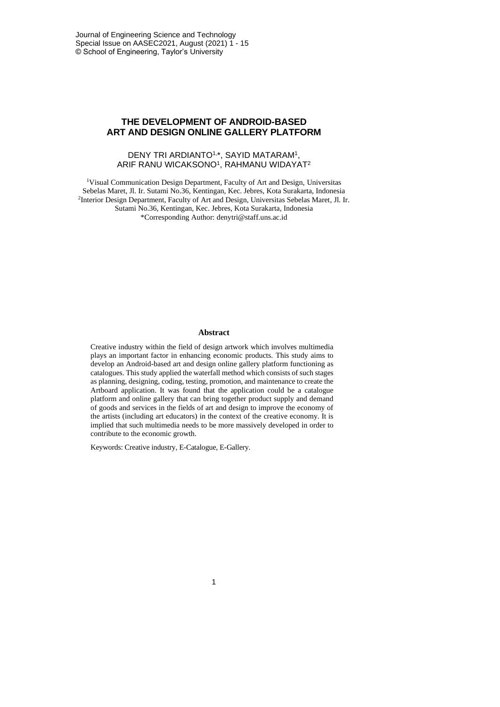Journal of Engineering Science and Technology Special Issue on AASEC2021, August (2021) 1 - 15 © School of Engineering, Taylor's University

## **THE DEVELOPMENT OF ANDROID-BASED ART AND DESIGN ONLINE GALLERY PLATFORM**

#### DENY TRI ARDIANTO1,\*, SAYID MATARAM<sup>1</sup> , ARIF RANU WICAKSONO<sup>1</sup> , RAHMANU WIDAYAT<sup>2</sup>

<sup>1</sup>Visual Communication Design Department, Faculty of Art and Design, Universitas Sebelas Maret, Jl. Ir. Sutami No.36, Kentingan, Kec. Jebres, Kota Surakarta, Indonesia 2 Interior Design Department, Faculty of Art and Design, Universitas Sebelas Maret, Jl. Ir. Sutami No.36, Kentingan, Kec. Jebres, Kota Surakarta, Indonesia \*Corresponding Author: denytri@staff.uns.ac.id

#### **Abstract**

Creative industry within the field of design artwork which involves multimedia plays an important factor in enhancing economic products. This study aims to develop an Android-based art and design online gallery platform functioning as catalogues. This study applied the waterfall method which consists of such stages as planning, designing, coding, testing, promotion, and maintenance to create the Artboard application. It was found that the application could be a catalogue platform and online gallery that can bring together product supply and demand of goods and services in the fields of art and design to improve the economy of the artists (including art educators) in the context of the creative economy. It is implied that such multimedia needs to be more massively developed in order to contribute to the economic growth.

Keywords: Creative industry, E-Catalogue, E-Gallery.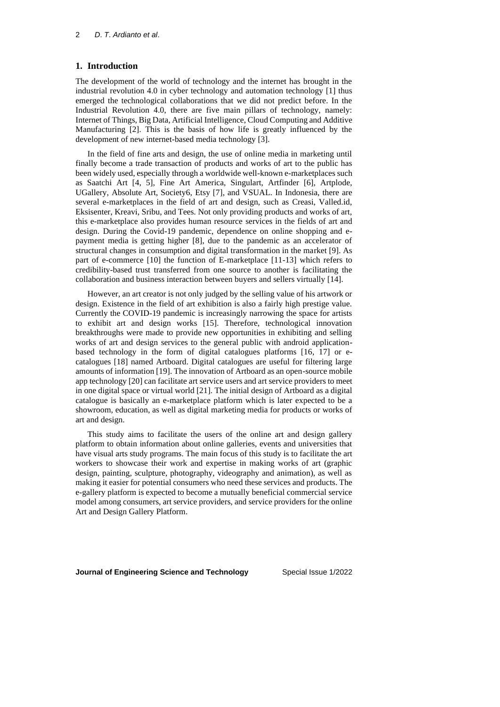### **1. Introduction**

The development of the world of technology and the internet has brought in the industrial revolution 4.0 in cyber technology and automation technology [1] thus emerged the technological collaborations that we did not predict before. In the Industrial Revolution 4.0, there are five main pillars of technology, namely: Internet of Things, Big Data, Artificial Intelligence, Cloud Computing and Additive Manufacturing [2]. This is the basis of how life is greatly influenced by the development of new internet-based media technology [3].

In the field of fine arts and design, the use of online media in marketing until finally become a trade transaction of products and works of art to the public has been widely used, especially through a worldwide well-known e-marketplaces such as Saatchi Art [4, 5], Fine Art America, Singulart, Artfinder [6], Artplode, UGallery, Absolute Art, Society6, Etsy [7], and VSUAL. In Indonesia, there are several e-marketplaces in the field of art and design, such as Creasi, Valled.id, Eksisenter, Kreavi, Sribu, and Tees. Not only providing products and works of art, this e-marketplace also provides human resource services in the fields of art and design. During the Covid-19 pandemic, dependence on online shopping and epayment media is getting higher [8], due to the pandemic as an accelerator of structural changes in consumption and digital transformation in the market [9]. As part of e-commerce [10] the function of E-marketplace [11-13] which refers to credibility-based trust transferred from one source to another is facilitating the collaboration and business interaction between buyers and sellers virtually [14].

However, an art creator is not only judged by the selling value of his artwork or design. Existence in the field of art exhibition is also a fairly high prestige value. Currently the COVID-19 pandemic is increasingly narrowing the space for artists to exhibit art and design works [15]. Therefore, technological innovation breakthroughs were made to provide new opportunities in exhibiting and selling works of art and design services to the general public with android applicationbased technology in the form of digital catalogues platforms [16, 17] or ecatalogues [18] named Artboard. Digital catalogues are useful for filtering large amounts of information [19]. The innovation of Artboard as an open-source mobile app technology [20] can facilitate art service users and art service providers to meet in one digital space or virtual world [21]. The initial design of Artboard as a digital catalogue is basically an e-marketplace platform which is later expected to be a showroom, education, as well as digital marketing media for products or works of art and design.

This study aims to facilitate the users of the online art and design gallery platform to obtain information about online galleries, events and universities that have visual arts study programs. The main focus of this study is to facilitate the art workers to showcase their work and expertise in making works of art (graphic design, painting, sculpture, photography, videography and animation), as well as making it easier for potential consumers who need these services and products. The e-gallery platform is expected to become a mutually beneficial commercial service model among consumers, art service providers, and service providers for the online Art and Design Gallery Platform.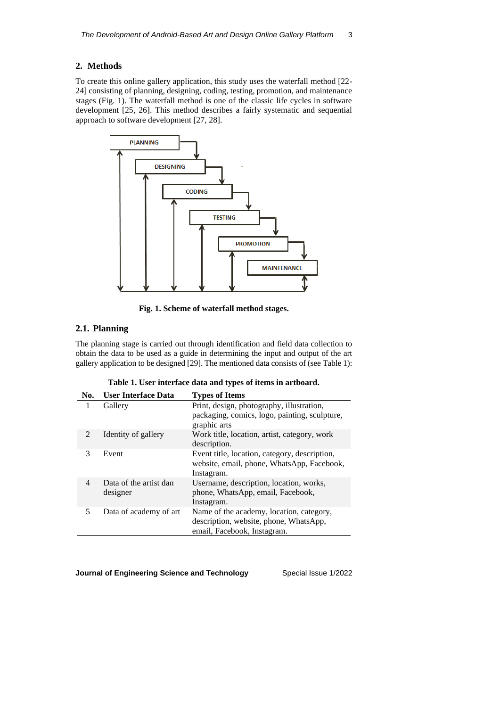## **2. Methods**

To create this online gallery application, this study uses the waterfall method [22- 24] consisting of planning, designing, coding, testing, promotion, and maintenance stages (Fig. 1). The waterfall method is one of the classic life cycles in software development [25, 26]. This method describes a fairly systematic and sequential approach to software development [27, 28].



**Fig. 1. Scheme of waterfall method stages.**

# **2.1. Planning**

The planning stage is carried out through identification and field data collection to obtain the data to be used as a guide in determining the input and output of the art gallery application to be designed [29]. The mentioned data consists of (see Table 1):

**Table 1. User interface data and types of items in artboard.**

| No.                         | <b>User Interface Data</b>         | <b>Types of Items</b>                                                                                             |
|-----------------------------|------------------------------------|-------------------------------------------------------------------------------------------------------------------|
| 1                           | Gallery                            | Print, design, photography, illustration,<br>packaging, comics, logo, painting, sculpture,<br>graphic arts        |
| $\mathcal{D}_{\mathcal{L}}$ | Identity of gallery                | Work title, location, artist, category, work<br>description.                                                      |
| 3                           | Event                              | Event title, location, category, description,<br>website, email, phone, WhatsApp, Facebook,<br>Instagram.         |
| 4                           | Data of the artist dan<br>designer | Username, description, location, works,<br>phone, WhatsApp, email, Facebook,<br>Instagram.                        |
| 5                           | Data of academy of art             | Name of the academy, location, category,<br>description, website, phone, WhatsApp,<br>email, Facebook, Instagram. |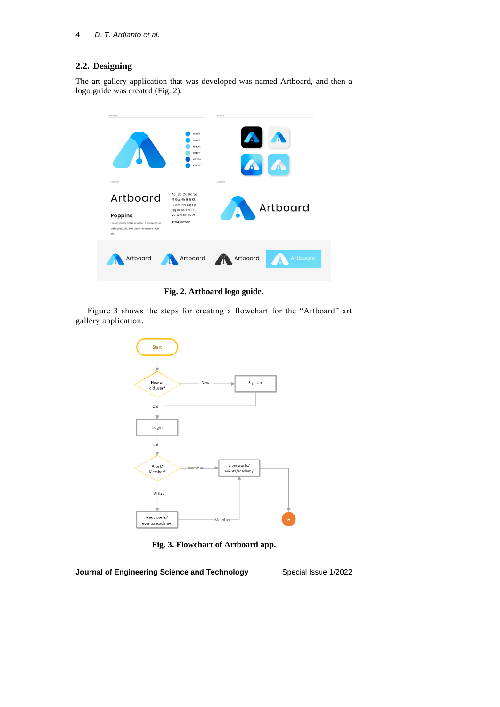# **2.2. Designing**

The art gallery application that was developed was named Artboard, and then a logo guide was created (Fig. 2).



**Fig. 2. Artboard logo guide.**

Figure 3 shows the steps for creating a flowchart for the "Artboard" art gallery application.



**Fig. 3. Flowchart of Artboard app.**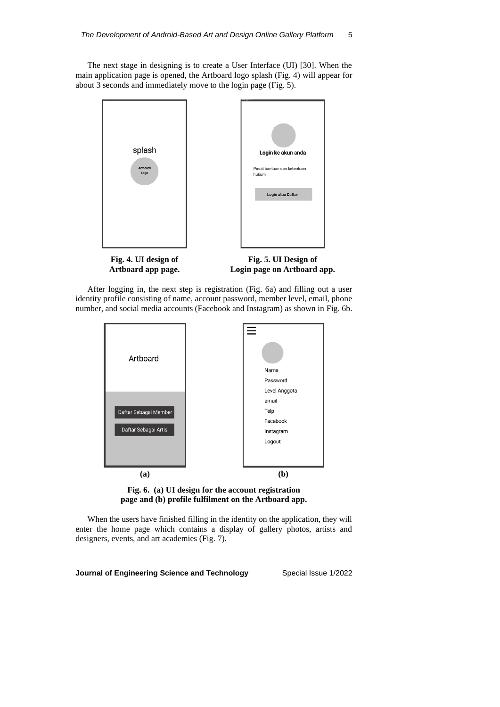The next stage in designing is to create a User Interface (UI) [30]. When the main application page is opened, the Artboard logo splash (Fig. 4) will appear for about 3 seconds and immediately move to the login page (Fig. 5).



After logging in, the next step is registration (Fig. 6a) and filling out a user identity profile consisting of name, account password, member level, email, phone number, and social media accounts (Facebook and Instagram) as shown in Fig. 6b.



**Fig. 6. (a) UI design for the account registration page and (b) profile fulfilment on the Artboard app.**

When the users have finished filling in the identity on the application, they will enter the home page which contains a display of gallery photos, artists and designers, events, and art academies (Fig. 7).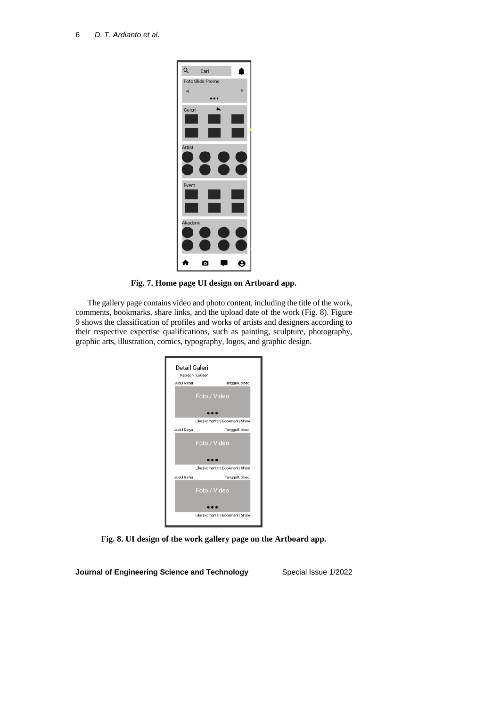

**Fig. 7. Home page UI design on Artboard app.**

The gallery page contains video and photo content, including the title of the work, comments, bookmarks, share links, and the upload date of the work (Fig. 8). Figure 9 shows the classification of profiles and works of artists and designers according to their respective expertise qualifications, such as painting, sculpture, photography, graphic arts, illustration, comics, typography, logos, and graphic design.

| Detail Galeri | Kategori : Lukisan                 |
|---------------|------------------------------------|
| Judul Karya   | Tanggal Upload                     |
|               | Foto / Video                       |
|               | Like   komentar   Bookmark   Share |
| Judul Karya   | Tanggal Upload                     |
|               | Foto / Video                       |
|               | Like I komentar I Bookmark I Share |
| Judul Karya   | Tanggal Upload                     |
|               | Foto / Video                       |
|               | Like   komentar   Bookmark   Share |

**Fig. 8. UI design of the work gallery page on the Artboard app.**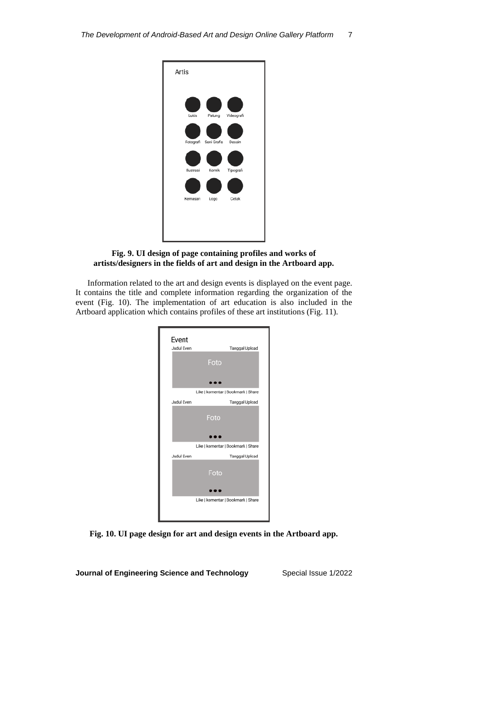

## **Fig. 9. UI design of page containing profiles and works of artists/designers in the fields of art and design in the Artboard app.**

Information related to the art and design events is displayed on the event page. It contains the title and complete information regarding the organization of the event (Fig. 10). The implementation of art education is also included in the Artboard application which contains profiles of these art institutions (Fig. 11).



**Fig. 10. UI page design for art and design events in the Artboard app.**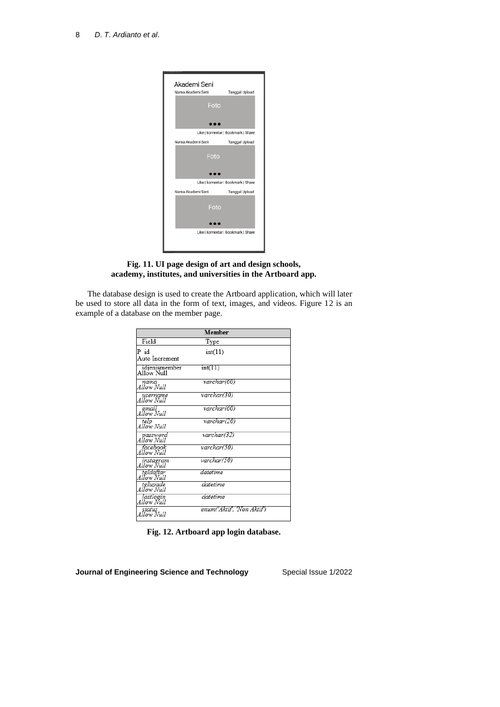

**Fig. 11. UI page design of art and design schools, academy, institutes, and universities in the Artboard app.**

The database design is used to create the Artboard application, which will later be used to store all data in the form of text, images, and videos. Figure 12 is an example of a database on the member page.

| Member                      |                            |  |  |  |
|-----------------------------|----------------------------|--|--|--|
| Field                       | Type                       |  |  |  |
| $P$ id<br>Auto Increment    | int(11)                    |  |  |  |
| idjenismember<br>Allow Null | int(11)                    |  |  |  |
| nama<br>Allow Null          | varchar(60)                |  |  |  |
| username<br>Allow Null      | varchar(30)                |  |  |  |
| email<br>Allow Null         | varchar(60)                |  |  |  |
| telp<br>Allow Null          | varchar(20)                |  |  |  |
| password<br>Allow Null      | varchar(32)                |  |  |  |
| facebook<br>Allow Null      | varchar(50)                |  |  |  |
| instagram<br>Allow Null     | varchar(50)                |  |  |  |
| tgldaftar<br>Allow Null     | datetime                   |  |  |  |
| tglupade<br>Allow Null      | datetime                   |  |  |  |
| lastlogin<br>Allow Null     | datetime                   |  |  |  |
| status<br>Allow Null        | enum('Aktif', 'Non Aktif') |  |  |  |

**Fig. 12. Artboard app login database.**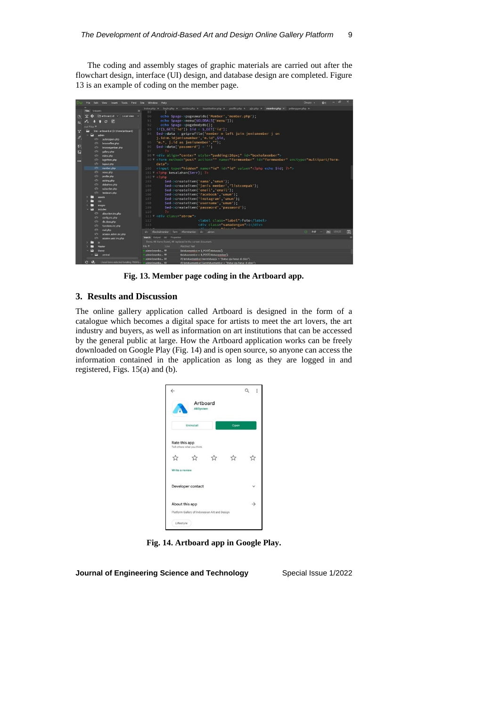The coding and assembly stages of graphic materials are carried out after the flowchart design, interface (UI) design, and database design are completed. Figure 13 is an example of coding on the member page.



**Fig. 13. Member page coding in the Artboard app.**

### **3. Results and Discussion**

The online gallery application called Artboard is designed in the form of a catalogue which becomes a digital space for artists to meet the art lovers, the art industry and buyers, as well as information on art institutions that can be accessed by the general public at large. How the Artboard application works can be freely downloaded on Google Play (Fig. 14) and is open source, so anyone can access the information contained in the application as long as they are logged in and registered, Figs. 15(a) and (b).



**Fig. 14. Artboard app in Google Play.**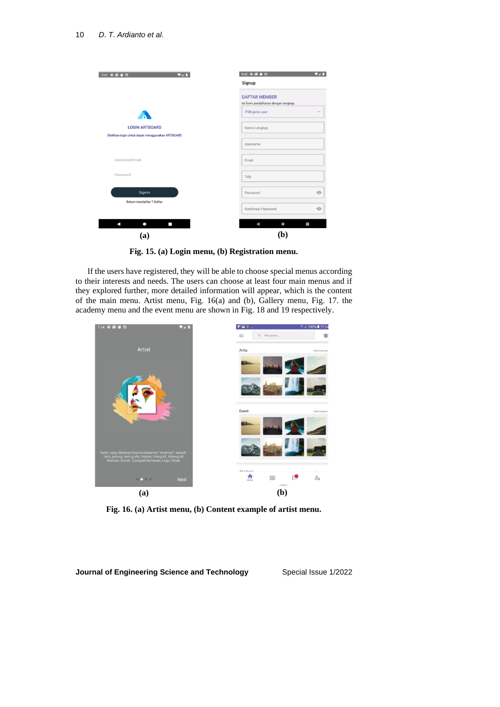

**Fig. 15. (a) Login menu, (b) Registration menu.**

If the users have registered, they will be able to choose special menus according to their interests and needs. The users can choose at least four main menus and if they explored further, more detailed information will appear, which is the content of the main menu. Artist menu, Fig. 16(a) and (b), Gallery menu, Fig. 17. the academy menu and the event menu are shown in Fig. 18 and 19 respectively.



**Fig. 16. (a) Artist menu, (b) Content example of artist menu.**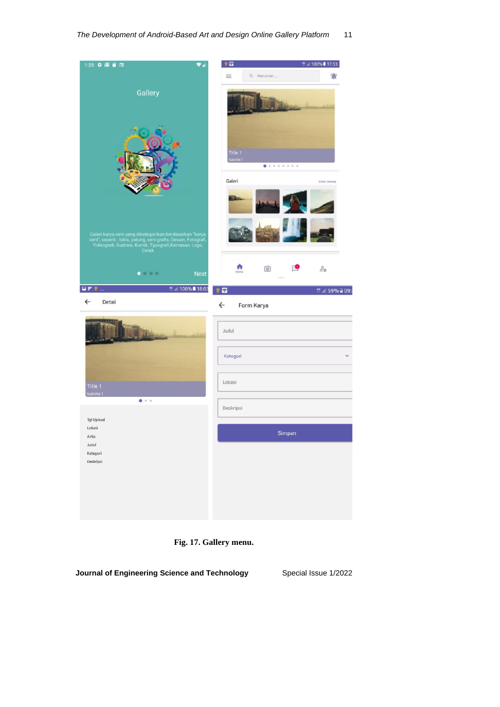

**Fig. 17. Gallery menu.**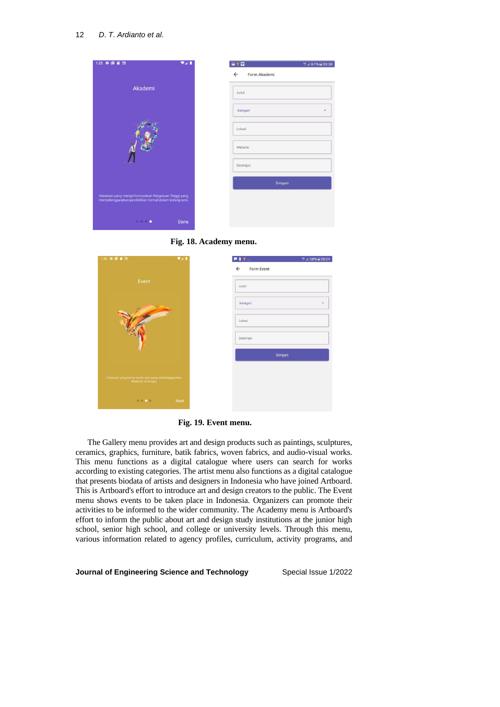



**Fig. 18. Academy menu.**



**Fig. 19. Event menu.**

The Gallery menu provides art and design products such as paintings, sculptures, ceramics, graphics, furniture, batik fabrics, woven fabrics, and audio-visual works. This menu functions as a digital catalogue where users can search for works according to existing categories. The artist menu also functions as a digital catalogue that presents biodata of artists and designers in Indonesia who have joined Artboard. This is Artboard's effort to introduce art and design creators to the public. The Event menu shows events to be taken place in Indonesia. Organizers can promote their activities to be informed to the wider community. The Academy menu is Artboard's effort to inform the public about art and design study institutions at the junior high school, senior high school, and college or university levels. Through this menu, various information related to agency profiles, curriculum, activity programs, and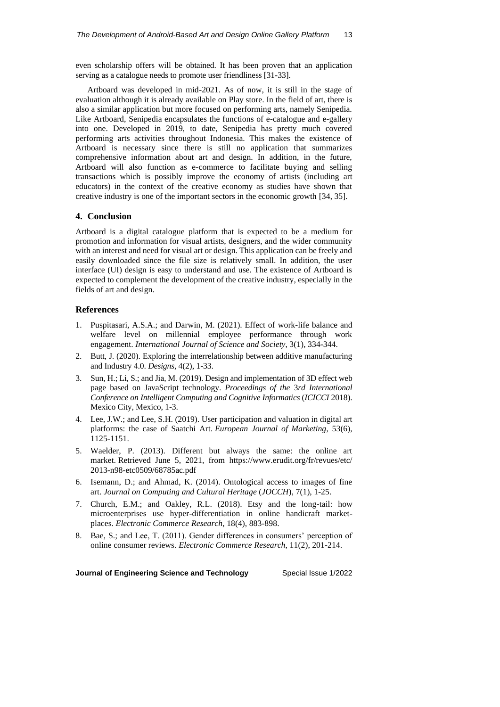even scholarship offers will be obtained. It has been proven that an application serving as a catalogue needs to promote user friendliness [31-33].

Artboard was developed in mid-2021. As of now, it is still in the stage of evaluation although it is already available on Play store. In the field of art, there is also a similar application but more focused on performing arts, namely Senipedia. Like Artboard, Senipedia encapsulates the functions of e-catalogue and e-gallery into one. Developed in 2019, to date, Senipedia has pretty much covered performing arts activities throughout Indonesia. This makes the existence of Artboard is necessary since there is still no application that summarizes comprehensive information about art and design. In addition, in the future, Artboard will also function as e-commerce to facilitate buying and selling transactions which is possibly improve the economy of artists (including art educators) in the context of the creative economy as studies have shown that creative industry is one of the important sectors in the economic growth [34, 35].

### **4. Conclusion**

Artboard is a digital catalogue platform that is expected to be a medium for promotion and information for visual artists, designers, and the wider community with an interest and need for visual art or design. This application can be freely and easily downloaded since the file size is relatively small. In addition, the user interface (UI) design is easy to understand and use. The existence of Artboard is expected to complement the development of the creative industry, especially in the fields of art and design.

## **References**

- 1. Puspitasari, A.S.A.; and Darwin, M. (2021). Effect of work-life balance and welfare level on millennial employee performance through work engagement. *International Journal of Science and Society*, 3(1), 334-344.
- 2. Butt, J. (2020). Exploring the interrelationship between additive manufacturing and Industry 4.0. *Designs*, 4(2), 1-33.
- 3. Sun, H.; Li, S.; and Jia, M. (2019). Design and implementation of 3D effect web page based on JavaScript technology. *Proceedings of the* 3*rd International Conference on Intelligent Computing and Cognitive Informatics* (*ICICCI* 2018). Mexico City, Mexico, 1-3.
- 4. Lee, J.W.; and Lee, S.H. (2019). User participation and valuation in digital art platforms: the case of Saatchi Art. *European Journal of Marketing*, 53(6), 1125-1151.
- 5. Waelder, P. (2013). Different but always the same: the online art market. Retrieved June 5, 2021, from <https://www.erudit.org/fr/revues/etc/> 2013-n98-etc0509/68785ac.pdf
- 6. Isemann, D.; and Ahmad, K. (2014). Ontological access to images of fine art. *Journal on Computing and Cultural Heritage* (*JOCCH*), 7(1), 1-25.
- 7. Church, E.M.; and Oakley, R.L. (2018). Etsy and the long-tail: how microenterprises use hyper-differentiation in online handicraft marketplaces. *Electronic Commerce Research*, 18(4), 883-898.
- 8. Bae, S.; and Lee, T. (2011). Gender differences in consumers' perception of online consumer reviews. *Electronic Commerce Research*, 11(2), 201-214.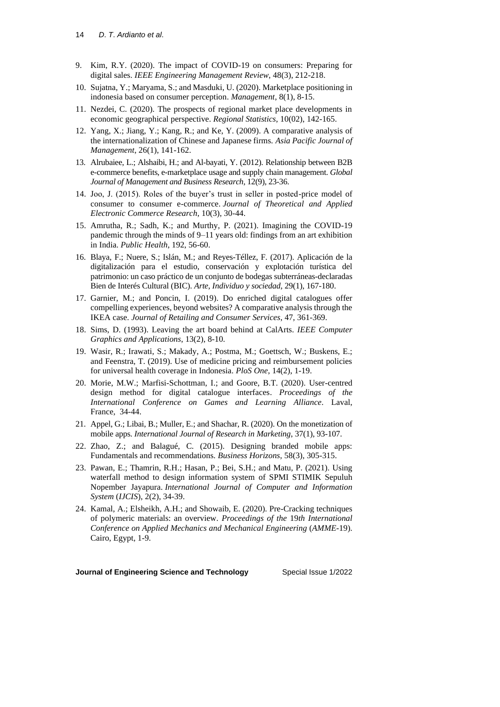- 9. Kim, R.Y. (2020). The impact of COVID-19 on consumers: Preparing for digital sales. *IEEE Engineering Management Review*, 48(3), 212-218.
- 10. Sujatna, Y.; Maryama, S.; and Masduki, U. (2020). Marketplace positioning in indonesia based on consumer perception. *Management*, 8(1), 8-15.
- 11. Nezdei, C. (2020). The prospects of regional market place developments in economic geographical perspective. *Regional Statistics*, 10(02), 142-165.
- 12. Yang, X.; Jiang, Y.; Kang, R.; and Ke, Y. (2009). A comparative analysis of the internationalization of Chinese and Japanese firms. *Asia Pacific Journal of Management*, 26(1), 141-162.
- 13. Alrubaiee, L.; Alshaibi, H.; and Al-bayati, Y. (2012). Relationship between B2B e-commerce benefits, e-marketplace usage and supply chain management. *Global Journal of Management and Business Research*, 12(9), 23-36.
- 14. Joo, J. (2015). Roles of the buyer's trust in seller in posted-price model of consumer to consumer e-commerce. *Journal of Theoretical and Applied Electronic Commerce Research*, 10(3), 30-44.
- 15. Amrutha, R.; Sadh, K.; and Murthy, P. (2021). Imagining the COVID-19 pandemic through the minds of 9–11 years old: findings from an art exhibition in India. *Public Health*, 192, 56-60.
- 16. Blaya, F.; Nuere, S.; Islán, M.; and Reyes-Téllez, F. (2017). Aplicación de la digitalización para el estudio, conservación y explotación turística del patrimonio: un caso práctico de un conjunto de bodegas subterráneas-declaradas Bien de Interés Cultural (BIC). *Arte*, *Individuo y sociedad*, 29(1), 167-180.
- 17. Garnier, M.; and Poncin, I. (2019). Do enriched digital catalogues offer compelling experiences, beyond websites? A comparative analysis through the IKEA case. *Journal of Retailing and Consumer Services*, 47, 361-369.
- 18. Sims, D. (1993). Leaving the art board behind at CalArts. *IEEE Computer Graphics and Applications*, 13(2), 8-10.
- 19. Wasir, R.; Irawati, S.; Makady, A.; Postma, M.; Goettsch, W.; Buskens, E.; and Feenstra, T. (2019). Use of medicine pricing and reimbursement policies for universal health coverage in Indonesia. *PloS One*, 14(2), 1-19.
- 20. Morie, M.W.; Marfisi-Schottman, I.; and Goore, B.T. (2020). User-centred design method for digital catalogue interfaces. *Proceedings of the International Conference on Games and Learning Alliance*. Laval, France, 34-44.
- 21. Appel, G.; Libai, B.; Muller, E.; and Shachar, R. (2020). On the monetization of mobile apps. *International Journal of Research in Marketing*, 37(1), 93-107.
- 22. Zhao, Z.; and Balagué, C. (2015). Designing branded mobile apps: Fundamentals and recommendations. *Business Horizons*, 58(3), 305-315.
- 23. Pawan, E.; Thamrin, R.H.; Hasan, P.; Bei, S.H.; and Matu, P. (2021). Using waterfall method to design information system of SPMI STIMIK Sepuluh Nopember Jayapura. *International Journal of Computer and Information System* (*IJCIS*), 2(2), 34-39.
- 24. Kamal, A.; Elsheikh, A.H.; and Showaib, E. (2020). Pre-Cracking techniques of polymeric materials: an overview. *Proceedings of the* 19*th International Conference on Applied Mechanics and Mechanical Engineering* (*AMME-*19). Cairo, Egypt, 1-9.